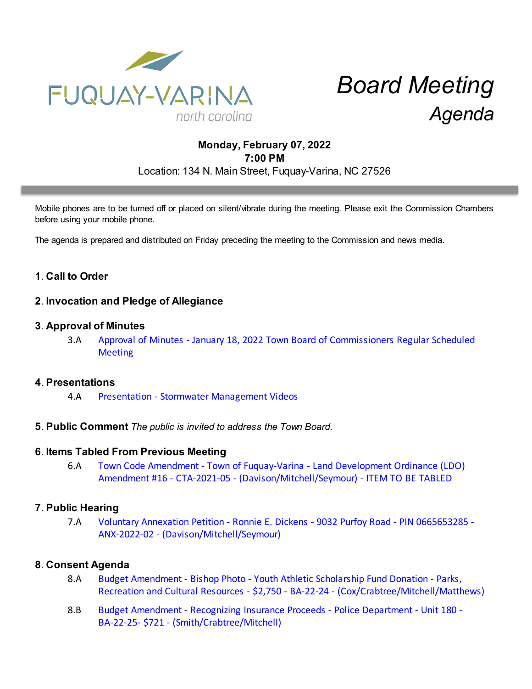

# *Board Meeting Agenda*

# **Monday, February 07, 2022 7:00 PM** Location: 134 N. Main Street, Fuquay-Varina, NC 27526

Mobile phones are to be turned off or placed on silent/vibrate during the meeting. Please exit the Commission Chambers before using your mobile phone.

The agenda is prepared and distributed on Friday preceding the meeting to the Commission and news media.

# **1**. **Call to Order**

### **2**. **Invocation and Pledge of Allegiance**

#### **3**. **Approval of Minutes**

3.A [Approval of Minutes - January 18, 2022 Town Board of Commissioners Regular Scheduled](https://d2kbkoa27fdvtw.cloudfront.net/fuquay-varina/4d96d0e40918a1961990afddd6b88ed00.pdf) **[Meeting](https://d2kbkoa27fdvtw.cloudfront.net/fuquay-varina/4d96d0e40918a1961990afddd6b88ed00.pdf)** 

#### **4**. **Presentations**

- 4.A [Presentation Stormwater Management Videos](https://d2kbkoa27fdvtw.cloudfront.net/fuquay-varina/77394a86a6f9824bfc546335914f48030.pdf)
- **5**. **Public Comment** *The public is invited to address the Town Board.*

#### **6**. **Items Tabled From Previous Meeting**

6.A [Town Code Amendment - Town of Fuquay-Varina - Land Development Ordinance \(LDO\)](https://d2kbkoa27fdvtw.cloudfront.net/fuquay-varina/754abdbb87e516d6e0068dd37a645ce60.pdf) [Amendment #16 - CTA-2021-05 - \(Davison/Mitchell/Seymour\) - ITEM TO BE TABLED](https://d2kbkoa27fdvtw.cloudfront.net/fuquay-varina/754abdbb87e516d6e0068dd37a645ce60.pdf)

#### **7**. **Public Hearing**

7.A [Voluntary Annexation Petition - Ronnie E. Dickens - 9032 Purfoy Road - PIN 0665653285 -](https://d2kbkoa27fdvtw.cloudfront.net/fuquay-varina/e2c80de806c4ab6b8a5b8d4e9ef03e140.pdf) [ANX-2022-02 - \(Davison/Mitchell/Seymour\)](https://d2kbkoa27fdvtw.cloudfront.net/fuquay-varina/e2c80de806c4ab6b8a5b8d4e9ef03e140.pdf)

#### **8**. **Consent Agenda**

- 8.A [Budget Amendment Bishop Photo Youth Athletic Scholarship Fund Donation Parks,](https://d2kbkoa27fdvtw.cloudfront.net/fuquay-varina/5b599cdee1ec540e02b964773063d5340.pdf) [Recreation and Cultural Resources - \\$2,750 - BA-22-24 - \(Cox/Crabtree/Mitchell/Matthews\)](https://d2kbkoa27fdvtw.cloudfront.net/fuquay-varina/5b599cdee1ec540e02b964773063d5340.pdf)
- 8.B [Budget Amendment Recognizing Insurance Proceeds Police Department Unit 180 -](https://d2kbkoa27fdvtw.cloudfront.net/fuquay-varina/819f8f4b95aba4bf33789f81f0b2337b0.pdf) [BA-22-25- \\$721 - \(Smith/Crabtree/Mitchell\)](https://d2kbkoa27fdvtw.cloudfront.net/fuquay-varina/819f8f4b95aba4bf33789f81f0b2337b0.pdf)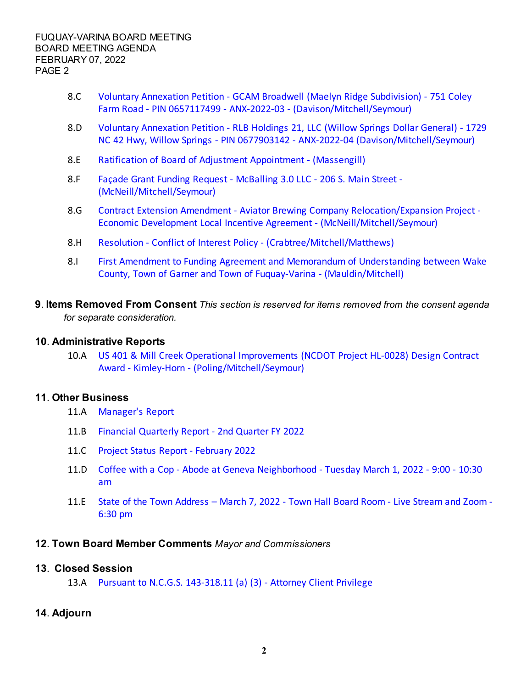- 8.C [Voluntary Annexation Petition GCAM Broadwell \(Maelyn Ridge Subdivision\) 751 Coley](https://d2kbkoa27fdvtw.cloudfront.net/fuquay-varina/496e00e639496f7be2f2ce9574750e630.pdf) [Farm Road - PIN 0657117499 - ANX-2022-03 - \(Davison/Mitchell/Seymour\)](https://d2kbkoa27fdvtw.cloudfront.net/fuquay-varina/496e00e639496f7be2f2ce9574750e630.pdf)
- 8.D [Voluntary Annexation Petition RLB Holdings 21, LLC \(Willow Springs Dollar General\) 1729](https://d2kbkoa27fdvtw.cloudfront.net/fuquay-varina/10157c17c12e134031c64ed20dd2d6f80.pdf) [NC 42 Hwy, Willow Springs - PIN 0677903142 - ANX-2022-04 \(Davison/Mitchell/Seymour\)](https://d2kbkoa27fdvtw.cloudfront.net/fuquay-varina/10157c17c12e134031c64ed20dd2d6f80.pdf)
- 8.E [Ratification of Board of Adjustment Appointment \(Massengill\)](https://d2kbkoa27fdvtw.cloudfront.net/fuquay-varina/9bb3fbe4d56707ba21806f7ca25831090.pdf)
- 8.F [Façade Grant Funding Request McBalling 3.0 LLC 206 S. Main Street -](https://d2kbkoa27fdvtw.cloudfront.net/fuquay-varina/77bcb6cddb14435a36c859da03e9b9af0.pdf) [\(McNeill/Mitchell/Seymour\)](https://d2kbkoa27fdvtw.cloudfront.net/fuquay-varina/77bcb6cddb14435a36c859da03e9b9af0.pdf)
- 8.G [Contract Extension Amendment Aviator Brewing Company Relocation/Expansion Project -](https://d2kbkoa27fdvtw.cloudfront.net/fuquay-varina/85b4b0f47a8dad4be5da5b88dd6633130.pdf) [Economic Development Local Incentive Agreement - \(McNeill/Mitchell/Seymour\)](https://d2kbkoa27fdvtw.cloudfront.net/fuquay-varina/85b4b0f47a8dad4be5da5b88dd6633130.pdf)
- 8.H [Resolution Conflict of Interest Policy \(Crabtree/Mitchell/Matthews\)](https://d2kbkoa27fdvtw.cloudfront.net/fuquay-varina/b5ca07ef6a13ef494147d5832b5c3e0f0.pdf)
- 8.I [First Amendment to Funding Agreement and Memorandum of Understanding between Wake](https://d2kbkoa27fdvtw.cloudfront.net/fuquay-varina/ce64d7318130f7e79fd731db9b15bccb0.pdf) [County, Town of Garner and Town of Fuquay-Varina - \(Mauldin/Mitchell\)](https://d2kbkoa27fdvtw.cloudfront.net/fuquay-varina/ce64d7318130f7e79fd731db9b15bccb0.pdf)
- **9**. **Items Removed From Consent** *This section is reserved for items removed from the consent agenda for separate consideration.*

#### **10**. **Administrative Reports**

10.A [US 401 & Mill Creek Operational Improvements \(NCDOT Project HL-0028\) Design Contract](https://d2kbkoa27fdvtw.cloudfront.net/fuquay-varina/6502c36d328b9fe2f9cf1177d5facd500.pdf) [Award - Kimley-Horn - \(Poling/Mitchell/Seymour\)](https://d2kbkoa27fdvtw.cloudfront.net/fuquay-varina/6502c36d328b9fe2f9cf1177d5facd500.pdf)

#### **11**. **Other Business**

- 11.A [Manager's Report](https://d2kbkoa27fdvtw.cloudfront.net/fuquay-varina/a1a3e7238973c8548650e0261fffddc00.pdf)
- 11.B [Financial Quarterly Report 2nd Quarter FY 2022](https://d2kbkoa27fdvtw.cloudfront.net/fuquay-varina/13d9f5e2eb6bf66e7540d3dbf39c9f6f0.pdf)
- 11.C [Project Status Report February 2022](https://d2kbkoa27fdvtw.cloudfront.net/fuquay-varina/07dc9ebc10c482a189cc1716ef277e150.pdf)
- 11.D [Coffee with a Cop Abode at Geneva Neighborhood Tuesday March 1, 2022 9:00 10:30](https://d2kbkoa27fdvtw.cloudfront.net/fuquay-varina/68c199dc2f0dbe6975f0dbc8c5727f690.pdf) [am](https://d2kbkoa27fdvtw.cloudfront.net/fuquay-varina/68c199dc2f0dbe6975f0dbc8c5727f690.pdf)
- 11.E [State of the Town Address March 7, 2022 Town Hall Board Room Live Stream and Zoom -](https://d2kbkoa27fdvtw.cloudfront.net/fuquay-varina/4ca3fe9d45158e458af319f597b8a25e0.pdf) [6:30 pm](https://d2kbkoa27fdvtw.cloudfront.net/fuquay-varina/4ca3fe9d45158e458af319f597b8a25e0.pdf)

#### **12**. **Town Board Member Comments** *Mayor and Commissioners*

#### **13**. **Closed Session**

13.A [Pursuant to N.C.G.S. 143-318.11 \(a\) \(3\) - Attorney Client Privilege](https://d2kbkoa27fdvtw.cloudfront.net/fuquay-varina/7f8014cef87ae1ebc1e5841d97f6ae760.pdf) 

## **14**. **Adjourn**